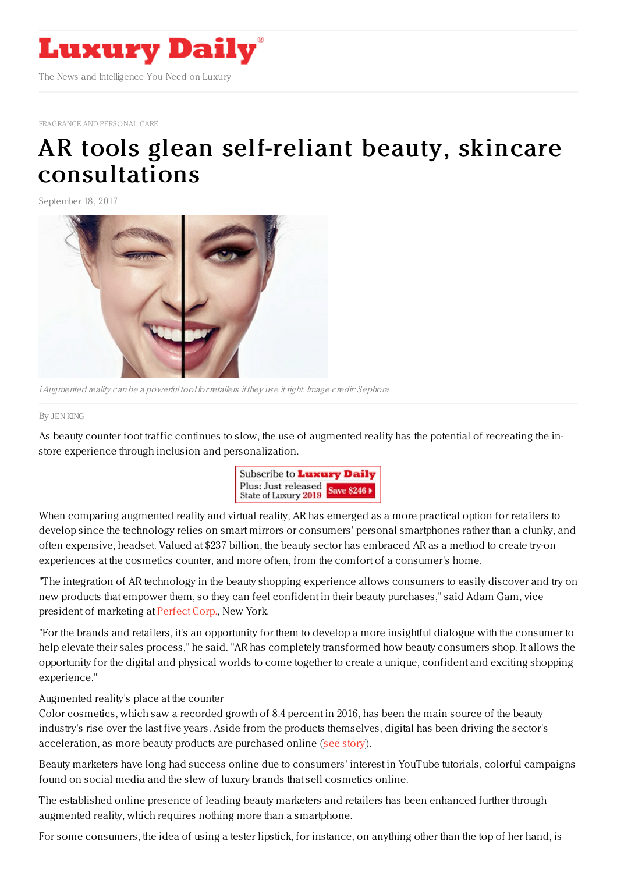

[FRAGRANCE](https://www.luxurydaily.com/category/sectors/fragrance-and-personal-care/) AND PERSONAL CARE

## AR tools glean self-reliant beauty, skincare [consultations](https://www.luxurydaily.com/ar-tools-glean-self-reliant-beauty-skincare-consultations/)

September 18, 2017



iAugmented reality can be <sup>a</sup> powerful tool for retailers if they use it right. Image credit: Sephora

## By JEN [KING](file:///author/jen-king)

As beauty counter foot traffic continues to slow, the use of augmented reality has the potential of recreating the instore experience through inclusion and personalization.



When comparing augmented reality and virtual reality, AR has emerged as a more practical option for retailers to develop since the technology relies on smart mirrors or consumers' personal smartphones rather than a clunky, and often expensive, headset. Valued at \$237 billion, the beauty sector has embraced AR as a method to create try-on experiences at the cosmetics counter, and more often, from the comfort of a consumer's home.

"The integration of AR technology in the beauty shopping experience allows consumers to easily discover and try on new products that empower them, so they can feel confident in their beauty purchases," said Adam Gam, vice president of marketing at [Perfect](http://www.perfectcorp.com/) Corp., New York.

"For the brands and retailers, it's an opportunity for them to develop a more insightful dialogue with the consumer to help elevate their sales process," he said. "AR has completely transformed how beauty consumers shop. It allows the opportunity for the digital and physical worlds to come together to create a unique, confident and exciting shopping experience."

## Augmented reality's place at the counter

Color cosmetics, which saw a recorded growth of 8.4 percent in 2016, has been the main source of the beauty industry's rise over the last five years. Aside from the products themselves, digital has been driving the sector's acceleration, as more beauty products are purchased online (see [story](https://www.luxurydaily.com/makeup-booming-business-thanks-to-selfie-generation-fashionbi/)).

Beauty marketers have long had success online due to consumers' interest in YouTube tutorials, colorful campaigns found on social media and the slew of luxury brands that sell cosmetics online.

The established online presence of leading beauty marketers and retailers has been enhanced further through augmented reality, which requires nothing more than a smartphone.

For some consumers, the idea of using a tester lipstick, for instance, on anything other than the top of her hand, is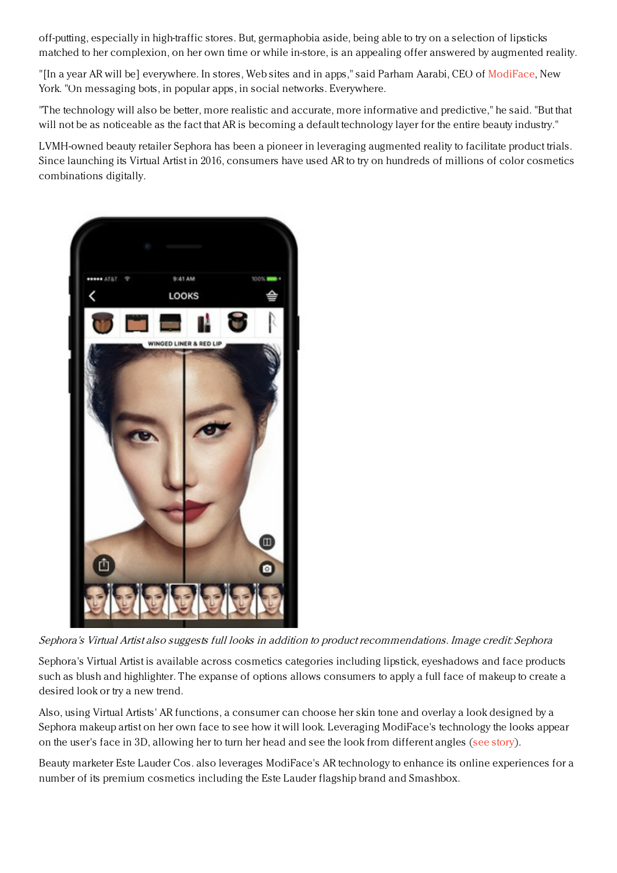off-putting, especially in high-traffic stores. But, germaphobia aside, being able to try on a selection of lipsticks matched to her complexion, on her own time or while in-store, is an appealing offer answered by augmented reality.

"[In a year AR will be] everywhere. In stores, Web sites and in apps," said Parham Aarabi, CEO of [ModiFace](http://www.modiface.com), New York. "On messaging bots, in popular apps, in social networks. Everywhere.

"The technology will also be better, more realistic and accurate, more informative and predictive," he said. "But that will not be as noticeable as the fact that AR is becoming a default technology layer for the entire beauty industry."

LVMH-owned beauty retailer Sephora has been a pioneer in leveraging augmented reality to facilitate product trials. Since launching its Virtual Artist in 2016, consumers have used AR to try on hundreds of millions of color cosmetics combinations digitally.



Sephora's Virtual Artist also suggests full looks in addition to product recommendations. Image credit: Sephora

Sephora's Virtual Artist is available across cosmetics categories including lipstick, eyeshadows and face products such as blush and highlighter. The expanse of options allows consumers to apply a full face of makeup to create a desired look or try a new trend.

Also, using Virtual Artists' AR functions, a consumer can choose her skin tone and overlay a look designed by a Sephora makeup artist on her own face to see how it will look. Leveraging ModiFace's technology the looks appear on the user's face in 3D, allowing her to turn her head and see the look from different angles (see [story](https://www.luxurydaily.com/sephora-rounds-out-beauty-looks-with-expanded-virtual-try-on-experience/)).

Beauty marketer Este Lauder Cos. also leverages ModiFace's AR technology to enhance its online experiences for a number of its premium cosmetics including the Este Lauder flagship brand and Smashbox.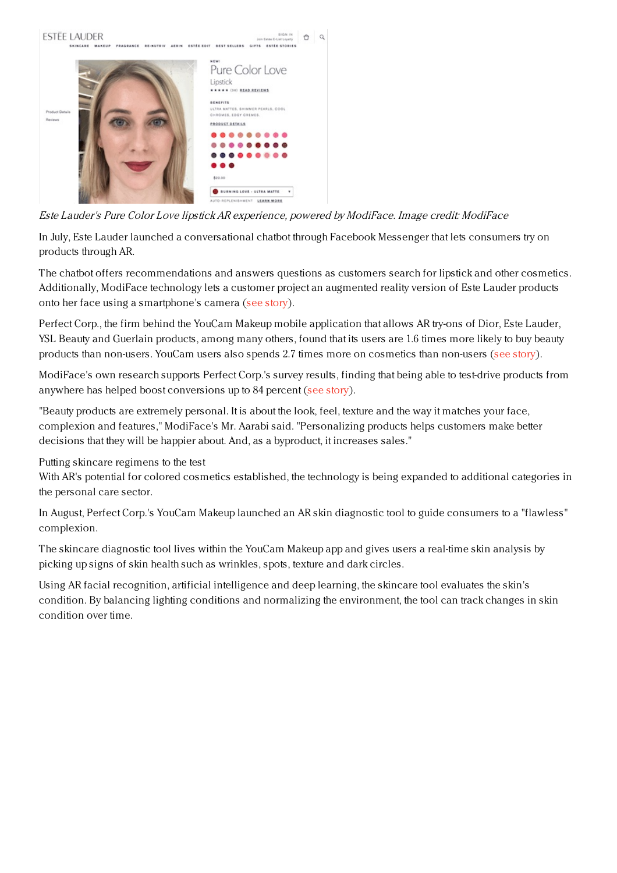

Este Lauder's Pure Color Love lipstick AR experience, powered by ModiFace. Image credit: ModiFace

In July, Este Lauder launched a conversational chatbot through Facebook Messenger that lets consumers try on products through AR.

The chatbot offers recommendations and answers questions as customers search for lipstick and other cosmetics. Additionally, ModiFace technology lets a customer project an augmented reality version of Este Lauder products onto her face using a smartphone's camera (see [story](https://www.luxurydaily.com/estee-lauder-debuts-ar-chatbot-for-lipstick-lovers/)).

Perfect Corp., the firm behind the YouCam Makeup mobile application that allows AR try-ons of Dior, Este Lauder, YSL Beauty and Guerlain products, among many others, found that its users are 1.6 times more likely to buy beauty products than non-users. YouCam users also spends 2.7 times more on cosmetics than non-users (see [story](https://www.luxurydaily.com/beauty-ar-makes-gen-z-shoppers-10x-more-likely-to-buy/)).

ModiFace's own research supports Perfect Corp.'s survey results, finding that being able to test-drive products from anywhere has helped boost conversions up to 84 percent (see [story](https://www.luxurydaily.com/augmented-reality-beauty-experiences-extend-to-targeted-promotions/)).

"Beauty products are extremely personal. It is about the look, feel, texture and the way it matches your face, complexion and features," ModiFace's Mr. Aarabi said. "Personalizing products helps customers make better decisions that they will be happier about. And, as a byproduct, it increases sales."

Putting skincare regimens to the test

With AR's potential for colored cosmetics established, the technology is being expanded to additional categories in the personal care sector.

In August, Perfect Corp.'s YouCam Makeup launched an AR skin diagnostic tool to guide consumers to a "flawless" complexion.

The skincare diagnostic tool lives within the YouCam Makeup app and gives users a real-time skin analysis by picking up signs of skin health such as wrinkles, spots, texture and dark circles.

Using AR facial recognition, artificial intelligence and deep learning, the skincare tool evaluates the skin's condition. By balancing lighting conditions and normalizing the environment, the tool can track changes in skin condition over time.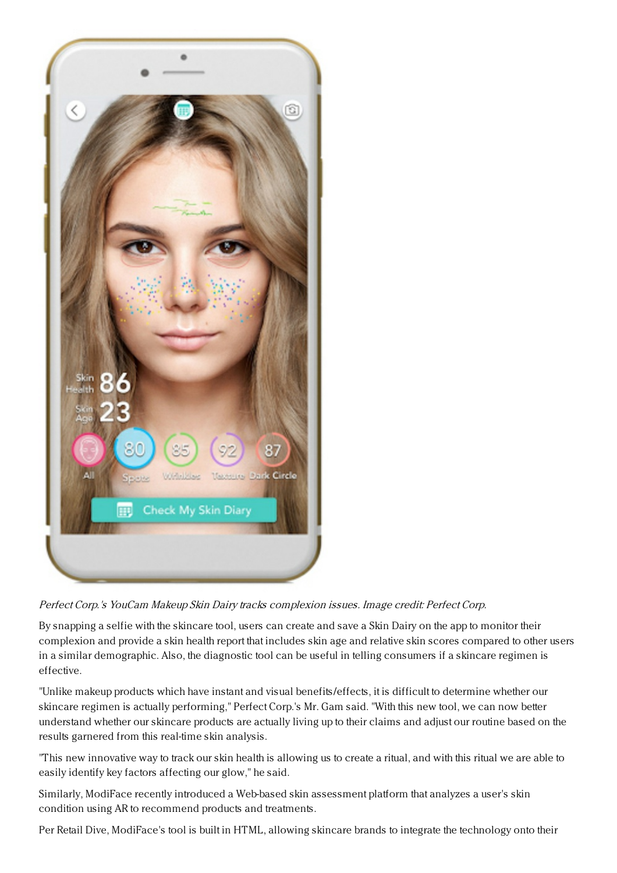

## Perfect Corp.'s YouCam Makeup Skin Dairy tracks complexion issues. Image credit: Perfect Corp.

By snapping a selfie with the skincare tool, users can create and save a Skin Dairy on the app to monitor their complexion and provide a skin health report that includes skin age and relative skin scores compared to other users in a similar demographic. Also, the diagnostic tool can be useful in telling consumers if a skincare regimen is effective.

"Unlike makeup products which have instant and visual benefits/effects, it is difficult to determine whether our skincare regimen is actually performing," Perfect Corp.'s Mr. Gam said. "With this new tool, we can now better understand whether our skincare products are actually living up to their claims and adjust our routine based on the results garnered from this real-time skin analysis.

"This new innovative way to track our skin health is allowing us to create a ritual, and with this ritual we are able to easily identify key factors affecting our glow," he said.

Similarly, ModiFace recently introduced a Web-based skin assessment platform that analyzes a user's skin condition using AR to recommend products and treatments.

Per Retail Dive, ModiFace's tool is built in HTML, allowing skincare brands to integrate the technology onto their